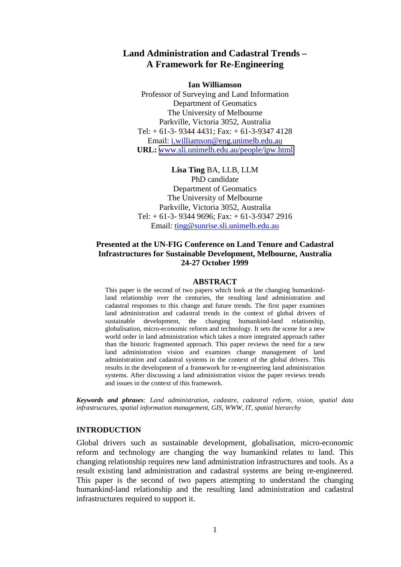# **Land Administration and Cadastral Trends – A Framework for Re-Engineering**

#### **Ian Williamson**

Professor of Surveying and Land Information Department of Geomatics The University of Melbourne Parkville, Victoria 3052, Australia Tel:  $+ 61-3-93444431$ : Fax:  $+ 61-3-93474128$ Email: i.williamson@eng.unimelb.edu.au **URL:** [www.sli.unimelb.edu.au/people/ipw.html](http://www.sli.unimelb.edu.au/people/ipw.html)

#### **Lisa Ting** BA, LLB, LLM

PhD candidate Department of Geomatics The University of Melbourne Parkville, Victoria 3052, Australia Tel: + 61-3- 9344 9696; Fax: + 61-3-9347 2916 Email: ting@sunrise.sli.unimelb.edu.au

### **Presented at the UN-FIG Conference on Land Tenure and Cadastral Infrastructures for Sustainable Development, Melbourne, Australia 24-27 October 1999**

#### **ABSTRACT**

This paper is the second of two papers which look at the changing humankindland relationship over the centuries, the resulting land administration and cadastral responses to this change and future trends. The first paper examines land administration and cadastral trends in the context of global drivers of sustainable development, the changing humankind-land relationship, globalisation, micro-economic reform and technology. It sets the scene for a new world order in land administration which takes a more integrated approach rather than the historic fragmented approach. This paper reviews the need for a new land administration vision and examines change management of land administration and cadastral systems in the context of the global drivers. This results in the development of a framework for re-engineering land administration systems. After discussing a land administration vision the paper reviews trends and issues in the context of this framework.

*Keywords and phrases: Land administration, cadastre, cadastral reform, vision, spatial data infrastructures, spatial information management, GIS, WWW, IT, spatial hierarchy*

#### **INTRODUCTION**

Global drivers such as sustainable development, globalisation, micro-economic reform and technology are changing the way humankind relates to land. This changing relationship requires new land administration infrastructures and tools. As a result existing land administration and cadastral systems are being re-engineered. This paper is the second of two papers attempting to understand the changing humankind-land relationship and the resulting land administration and cadastral infrastructures required to support it.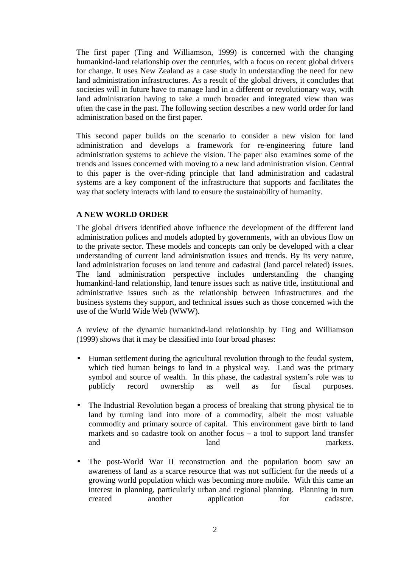The first paper (Ting and Williamson, 1999) is concerned with the changing humankind-land relationship over the centuries, with a focus on recent global drivers for change. It uses New Zealand as a case study in understanding the need for new land administration infrastructures. As a result of the global drivers, it concludes that societies will in future have to manage land in a different or revolutionary way, with land administration having to take a much broader and integrated view than was often the case in the past. The following section describes a new world order for land administration based on the first paper.

This second paper builds on the scenario to consider a new vision for land administration and develops a framework for re-engineering future land administration systems to achieve the vision. The paper also examines some of the trends and issues concerned with moving to a new land administration vision. Central to this paper is the over-riding principle that land administration and cadastral systems are a key component of the infrastructure that supports and facilitates the way that society interacts with land to ensure the sustainability of humanity.

## **A NEW WORLD ORDER**

The global drivers identified above influence the development of the different land administration polices and models adopted by governments, with an obvious flow on to the private sector. These models and concepts can only be developed with a clear understanding of current land administration issues and trends. By its very nature, land administration focuses on land tenure and cadastral (land parcel related) issues. The land administration perspective includes understanding the changing humankind-land relationship, land tenure issues such as native title, institutional and administrative issues such as the relationship between infrastructures and the business systems they support, and technical issues such as those concerned with the use of the World Wide Web (WWW).

A review of the dynamic humankind-land relationship by Ting and Williamson (1999) shows that it may be classified into four broad phases:

- Human settlement during the agricultural revolution through to the feudal system, which tied human beings to land in a physical way. Land was the primary symbol and source of wealth. In this phase, the cadastral system's role was to publicly record ownership as well as for fiscal purposes.
- The Industrial Revolution began a process of breaking that strong physical tie to land by turning land into more of a commodity, albeit the most valuable commodity and primary source of capital. This environment gave birth to land markets and so cadastre took on another focus – a tool to support land transfer and land land markets.
- The post-World War II reconstruction and the population boom saw an awareness of land as a scarce resource that was not sufficient for the needs of a growing world population which was becoming more mobile. With this came an interest in planning, particularly urban and regional planning. Planning in turn created another application for cadastre.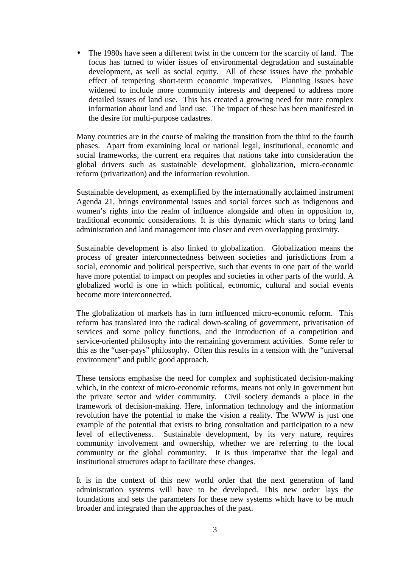• The 1980s have seen a different twist in the concern for the scarcity of land. The focus has turned to wider issues of environmental degradation and sustainable development, as well as social equity. All of these issues have the probable effect of tempering short-term economic imperatives. Planning issues have widened to include more community interests and deepened to address more detailed issues of land use. This has created a growing need for more complex information about land and land use. The impact of these has been manifested in the desire for multi-purpose cadastres.

Many countries are in the course of making the transition from the third to the fourth phases. Apart from examining local or national legal, institutional, economic and social frameworks, the current era requires that nations take into consideration the global drivers such as sustainable development, globalization, micro-economic reform (privatization) and the information revolution.

Sustainable development, as exemplified by the internationally acclaimed instrument Agenda 21, brings environmental issues and social forces such as indigenous and women's rights into the realm of influence alongside and often in opposition to, traditional economic considerations. It is this dynamic which starts to bring land administration and land management into closer and even overlapping proximity.

Sustainable development is also linked to globalization. Globalization means the process of greater interconnectedness between societies and jurisdictions from a social, economic and political perspective, such that events in one part of the world have more potential to impact on peoples and societies in other parts of the world. A globalized world is one in which political, economic, cultural and social events become more interconnected.

The globalization of markets has in turn influenced micro-economic reform. This reform has translated into the radical down-scaling of government, privatisation of services and some policy functions, and the introduction of a competition and service-oriented philosophy into the remaining government activities. Some refer to this as the "user-pays" philosophy. Often this results in a tension with the "universal environment" and public good approach.

These tensions emphasise the need for complex and sophisticated decision-making which, in the context of micro-economic reforms, means not only in government but the private sector and wider community. Civil society demands a place in the framework of decision-making. Here, information technology and the information revolution have the potential to make the vision a reality. The WWW is just one example of the potential that exists to bring consultation and participation to a new level of effectiveness. Sustainable development, by its very nature, requires community involvement and ownership, whether we are referring to the local community or the global community. It is thus imperative that the legal and institutional structures adapt to facilitate these changes.

It is in the context of this new world order that the next generation of land administration systems will have to be developed. This new order lays the foundations and sets the parameters for these new systems which have to be much broader and integrated than the approaches of the past.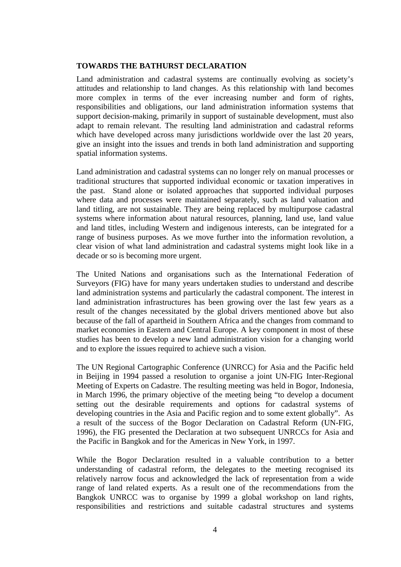### **TOWARDS THE BATHURST DECLARATION**

Land administration and cadastral systems are continually evolving as society's attitudes and relationship to land changes. As this relationship with land becomes more complex in terms of the ever increasing number and form of rights, responsibilities and obligations, our land administration information systems that support decision-making, primarily in support of sustainable development, must also adapt to remain relevant. The resulting land administration and cadastral reforms which have developed across many jurisdictions worldwide over the last 20 years, give an insight into the issues and trends in both land administration and supporting spatial information systems.

Land administration and cadastral systems can no longer rely on manual processes or traditional structures that supported individual economic or taxation imperatives in the past. Stand alone or isolated approaches that supported individual purposes where data and processes were maintained separately, such as land valuation and land titling, are not sustainable. They are being replaced by multipurpose cadastral systems where information about natural resources, planning, land use, land value and land titles, including Western and indigenous interests, can be integrated for a range of business purposes. As we move further into the information revolution, a clear vision of what land administration and cadastral systems might look like in a decade or so is becoming more urgent.

The United Nations and organisations such as the International Federation of Surveyors (FIG) have for many years undertaken studies to understand and describe land administration systems and particularly the cadastral component. The interest in land administration infrastructures has been growing over the last few years as a result of the changes necessitated by the global drivers mentioned above but also because of the fall of apartheid in Southern Africa and the changes from command to market economies in Eastern and Central Europe. A key component in most of these studies has been to develop a new land administration vision for a changing world and to explore the issues required to achieve such a vision.

The UN Regional Cartographic Conference (UNRCC) for Asia and the Pacific held in Beijing in 1994 passed a resolution to organise a joint UN-FIG Inter-Regional Meeting of Experts on Cadastre. The resulting meeting was held in Bogor, Indonesia, in March 1996, the primary objective of the meeting being "to develop a document setting out the desirable requirements and options for cadastral systems of developing countries in the Asia and Pacific region and to some extent globally". As a result of the success of the Bogor Declaration on Cadastral Reform (UN-FIG, 1996), the FIG presented the Declaration at two subsequent UNRCCs for Asia and the Pacific in Bangkok and for the Americas in New York, in 1997.

While the Bogor Declaration resulted in a valuable contribution to a better understanding of cadastral reform, the delegates to the meeting recognised its relatively narrow focus and acknowledged the lack of representation from a wide range of land related experts. As a result one of the recommendations from the Bangkok UNRCC was to organise by 1999 a global workshop on land rights, responsibilities and restrictions and suitable cadastral structures and systems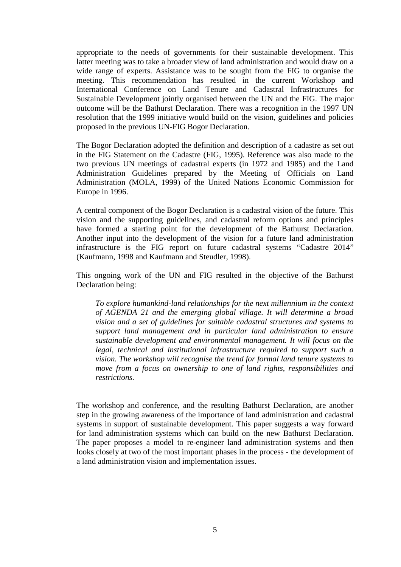appropriate to the needs of governments for their sustainable development. This latter meeting was to take a broader view of land administration and would draw on a wide range of experts. Assistance was to be sought from the FIG to organise the meeting. This recommendation has resulted in the current Workshop and International Conference on Land Tenure and Cadastral Infrastructures for Sustainable Development jointly organised between the UN and the FIG. The major outcome will be the Bathurst Declaration. There was a recognition in the 1997 UN resolution that the 1999 initiative would build on the vision, guidelines and policies proposed in the previous UN-FIG Bogor Declaration.

The Bogor Declaration adopted the definition and description of a cadastre as set out in the FIG Statement on the Cadastre (FIG, 1995). Reference was also made to the two previous UN meetings of cadastral experts (in 1972 and 1985) and the Land Administration Guidelines prepared by the Meeting of Officials on Land Administration (MOLA, 1999) of the United Nations Economic Commission for Europe in 1996.

A central component of the Bogor Declaration is a cadastral vision of the future. This vision and the supporting guidelines, and cadastral reform options and principles have formed a starting point for the development of the Bathurst Declaration. Another input into the development of the vision for a future land administration infrastructure is the FIG report on future cadastral systems "Cadastre 2014" (Kaufmann, 1998 and Kaufmann and Steudler, 1998).

This ongoing work of the UN and FIG resulted in the objective of the Bathurst Declaration being:

*To explore humankind-land relationships for the next millennium in the context of AGENDA 21 and the emerging global village. It will determine a broad vision and a set of guidelines for suitable cadastral structures and systems to support land management and in particular land administration to ensure sustainable development and environmental management. It will focus on the legal, technical and institutional infrastructure required to support such a vision. The workshop will recognise the trend for formal land tenure systems to move from a focus on ownership to one of land rights, responsibilities and restrictions.*

The workshop and conference, and the resulting Bathurst Declaration, are another step in the growing awareness of the importance of land administration and cadastral systems in support of sustainable development. This paper suggests a way forward for land administration systems which can build on the new Bathurst Declaration. The paper proposes a model to re-engineer land administration systems and then looks closely at two of the most important phases in the process - the development of a land administration vision and implementation issues.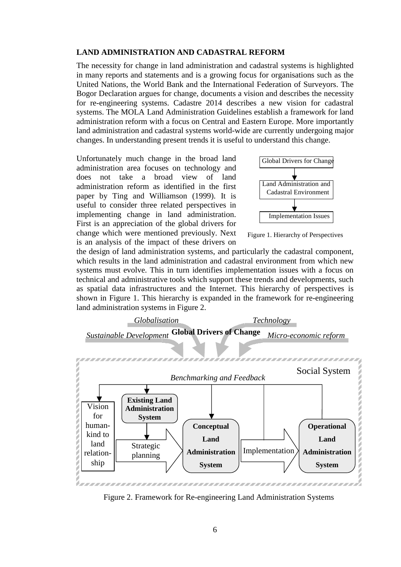### **LAND ADMINISTRATION AND CADASTRAL REFORM**

The necessity for change in land administration and cadastral systems is highlighted in many reports and statements and is a growing focus for organisations such as the United Nations, the World Bank and the International Federation of Surveyors. The Bogor Declaration argues for change, documents a vision and describes the necessity for re-engineering systems. Cadastre 2014 describes a new vision for cadastral systems. The MOLA Land Administration Guidelines establish a framework for land administration reform with a focus on Central and Eastern Europe. More importantly land administration and cadastral systems world-wide are currently undergoing major changes. In understanding present trends it is useful to understand this change.

Unfortunately much change in the broad land administration area focuses on technology and does not take a broad view of land administration reform as identified in the first paper by Ting and Williamson (1999). It is useful to consider three related perspectives in implementing change in land administration. First is an appreciation of the global drivers for change which were mentioned previously. Next is an analysis of the impact of these drivers on



Figure 1. Hierarchy of Perspectives

the design of land administration systems, and particularly the cadastral component, which results in the land administration and cadastral environment from which new systems must evolve. This in turn identifies implementation issues with a focus on technical and administrative tools which support these trends and developments, such as spatial data infrastructures and the Internet. This hierarchy of perspectives is shown in Figure 1. This hierarchy is expanded in the framework for re-engineering land administration systems in Figure 2.



Figure 2. Framework for Re-engineering Land Administration Systems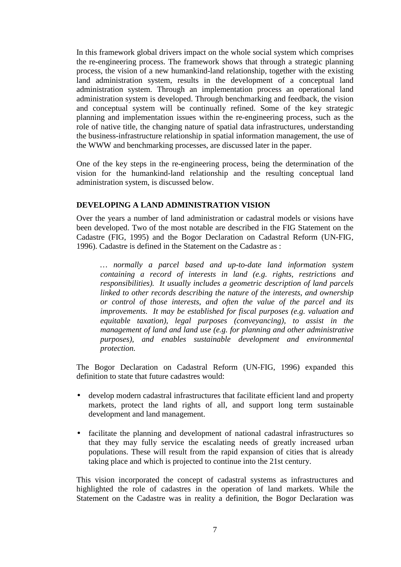In this framework global drivers impact on the whole social system which comprises the re-engineering process. The framework shows that through a strategic planning process, the vision of a new humankind-land relationship, together with the existing land administration system, results in the development of a conceptual land administration system. Through an implementation process an operational land administration system is developed. Through benchmarking and feedback, the vision and conceptual system will be continually refined. Some of the key strategic planning and implementation issues within the re-engineering process, such as the role of native title, the changing nature of spatial data infrastructures, understanding the business-infrastructure relationship in spatial information management, the use of the WWW and benchmarking processes, are discussed later in the paper.

One of the key steps in the re-engineering process, being the determination of the vision for the humankind-land relationship and the resulting conceptual land administration system, is discussed below.

## **DEVELOPING A LAND ADMINISTRATION VISION**

Over the years a number of land administration or cadastral models or visions have been developed. Two of the most notable are described in the FIG Statement on the Cadastre (FIG, 1995) and the Bogor Declaration on Cadastral Reform (UN-FIG, 1996). Cadastre is defined in the Statement on the Cadastre as :

*… normally a parcel based and up-to-date land information system containing a record of interests in land (e.g. rights, restrictions and responsibilities). It usually includes a geometric description of land parcels linked to other records describing the nature of the interests, and ownership or control of those interests, and often the value of the parcel and its improvements. It may be established for fiscal purposes (e.g. valuation and equitable taxation), legal purposes (conveyancing), to assist in the management of land and land use (e.g. for planning and other administrative purposes), and enables sustainable development and environmental protection.*

The Bogor Declaration on Cadastral Reform (UN-FIG, 1996) expanded this definition to state that future cadastres would:

- develop modern cadastral infrastructures that facilitate efficient land and property markets, protect the land rights of all, and support long term sustainable development and land management.
- facilitate the planning and development of national cadastral infrastructures so that they may fully service the escalating needs of greatly increased urban populations. These will result from the rapid expansion of cities that is already taking place and which is projected to continue into the 21st century.

This vision incorporated the concept of cadastral systems as infrastructures and highlighted the role of cadastres in the operation of land markets. While the Statement on the Cadastre was in reality a definition, the Bogor Declaration was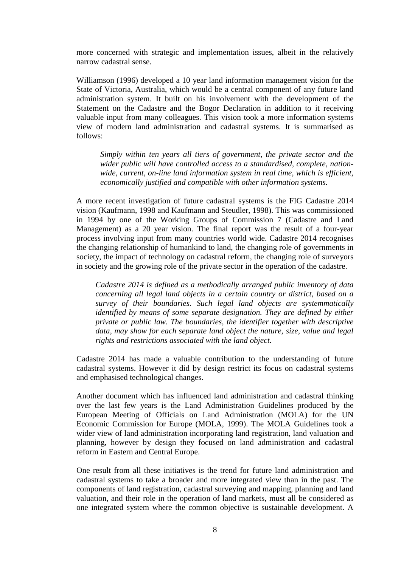more concerned with strategic and implementation issues, albeit in the relatively narrow cadastral sense.

Williamson (1996) developed a 10 year land information management vision for the State of Victoria, Australia, which would be a central component of any future land administration system. It built on his involvement with the development of the Statement on the Cadastre and the Bogor Declaration in addition to it receiving valuable input from many colleagues. This vision took a more information systems view of modern land administration and cadastral systems. It is summarised as follows:

*Simply within ten years all tiers of government, the private sector and the wider public will have controlled access to a standardised, complete, nationwide, current, on-line land information system in real time, which is efficient, economically justified and compatible with other information systems.*

A more recent investigation of future cadastral systems is the FIG Cadastre 2014 vision (Kaufmann, 1998 and Kaufmann and Steudler, 1998). This was commissioned in 1994 by one of the Working Groups of Commission 7 (Cadastre and Land Management) as a 20 year vision. The final report was the result of a four-year process involving input from many countries world wide. Cadastre 2014 recognises the changing relationship of humankind to land, the changing role of governments in society, the impact of technology on cadastral reform, the changing role of surveyors in society and the growing role of the private sector in the operation of the cadastre.

*Cadastre 2014 is defined as a methodically arranged public inventory of data concerning all legal land objects in a certain country or district, based on a survey of their boundaries. Such legal land objects are systemmatically identified by means of some separate designation. They are defined by either private or public law. The boundaries, the identifier together with descriptive data, may show for each separate land object the nature, size, value and legal rights and restrictions associated with the land object.*

Cadastre 2014 has made a valuable contribution to the understanding of future cadastral systems. However it did by design restrict its focus on cadastral systems and emphasised technological changes.

Another document which has influenced land administration and cadastral thinking over the last few years is the Land Administration Guidelines produced by the European Meeting of Officials on Land Administration (MOLA) for the UN Economic Commission for Europe (MOLA, 1999). The MOLA Guidelines took a wider view of land administration incorporating land registration, land valuation and planning, however by design they focused on land administration and cadastral reform in Eastern and Central Europe.

One result from all these initiatives is the trend for future land administration and cadastral systems to take a broader and more integrated view than in the past. The components of land registration, cadastral surveying and mapping, planning and land valuation, and their role in the operation of land markets, must all be considered as one integrated system where the common objective is sustainable development. A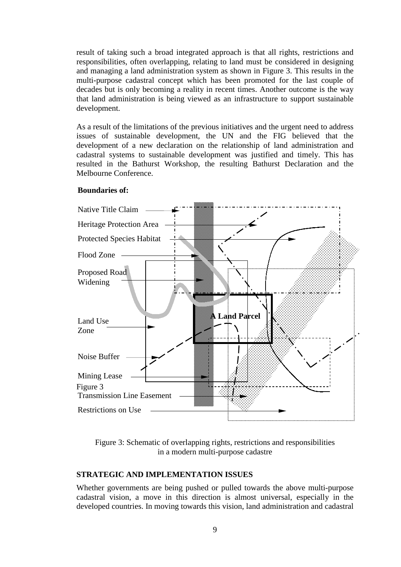result of taking such a broad integrated approach is that all rights, restrictions and responsibilities, often overlapping, relating to land must be considered in designing and managing a land administration system as shown in Figure 3. This results in the multi-purpose cadastral concept which has been promoted for the last couple of decades but is only becoming a reality in recent times. Another outcome is the way that land administration is being viewed as an infrastructure to support sustainable development.

As a result of the limitations of the previous initiatives and the urgent need to address issues of sustainable development, the UN and the FIG believed that the development of a new declaration on the relationship of land administration and cadastral systems to sustainable development was justified and timely. This has resulted in the Bathurst Workshop, the resulting Bathurst Declaration and the Melbourne Conference.



### **Boundaries of:**

Figure 3: Schematic of overlapping rights, restrictions and responsibilities in a modern multi-purpose cadastre

#### **STRATEGIC AND IMPLEMENTATION ISSUES**

Whether governments are being pushed or pulled towards the above multi-purpose cadastral vision, a move in this direction is almost universal, especially in the developed countries. In moving towards this vision, land administration and cadastral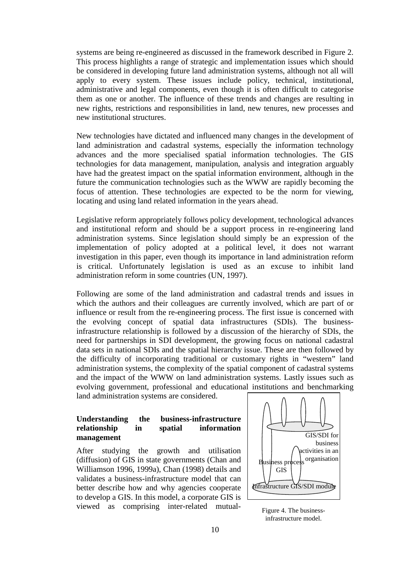systems are being re-engineered as discussed in the framework described in Figure 2. This process highlights a range of strategic and implementation issues which should be considered in developing future land administration systems, although not all will apply to every system. These issues include policy, technical, institutional, administrative and legal components, even though it is often difficult to categorise them as one or another. The influence of these trends and changes are resulting in new rights, restrictions and responsibilities in land, new tenures, new processes and new institutional structures.

New technologies have dictated and influenced many changes in the development of land administration and cadastral systems, especially the information technology advances and the more specialised spatial information technologies. The GIS technologies for data management, manipulation, analysis and integration arguably have had the greatest impact on the spatial information environment, although in the future the communication technologies such as the WWW are rapidly becoming the focus of attention. These technologies are expected to be the norm for viewing, locating and using land related information in the years ahead.

Legislative reform appropriately follows policy development, technological advances and institutional reform and should be a support process in re-engineering land administration systems. Since legislation should simply be an expression of the implementation of policy adopted at a political level, it does not warrant investigation in this paper, even though its importance in land administration reform is critical. Unfortunately legislation is used as an excuse to inhibit land administration reform in some countries (UN, 1997).

Following are some of the land administration and cadastral trends and issues in which the authors and their colleagues are currently involved, which are part of or influence or result from the re-engineering process. The first issue is concerned with the evolving concept of spatial data infrastructures (SDIs). The businessinfrastructure relationship is followed by a discussion of the hierarchy of SDIs, the need for partnerships in SDI development, the growing focus on national cadastral data sets in national SDIs and the spatial hierarchy issue. These are then followed by the difficulty of incorporating traditional or customary rights in "western" land administration systems, the complexity of the spatial component of cadastral systems and the impact of the WWW on land administration systems. Lastly issues such as evolving government, professional and educational institutions and benchmarking land administration systems are considered.

**Understanding the business-infrastructure relationship in spatial information management**

After studying the growth and utilisation (diffusion) of GIS in state governments (Chan and Williamson 1996, 1999a), Chan (1998) details and validates a business-infrastructure model that can better describe how and why agencies cooperate to develop a GIS. In this model, a corporate GIS is viewed as comprising inter-related mutual-



Figure 4. The businessinfrastructure model.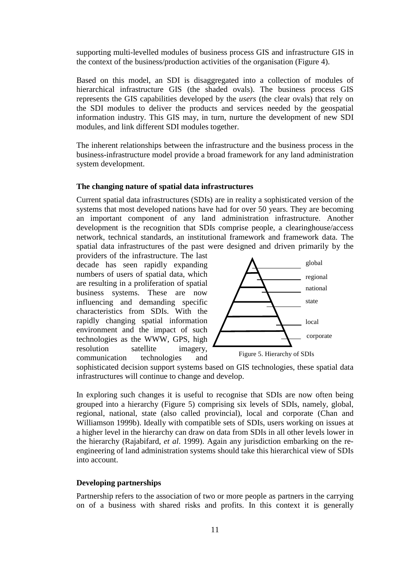supporting multi-levelled modules of business process GIS and infrastructure GIS in the context of the business/production activities of the organisation (Figure 4).

Based on this model, an SDI is disaggregated into a collection of modules of hierarchical infrastructure GIS (the shaded ovals). The business process GIS represents the GIS capabilities developed by the *users* (the clear ovals) that rely on the SDI modules to deliver the products and services needed by the geospatial information industry. This GIS may, in turn, nurture the development of new SDI modules, and link different SDI modules together.

The inherent relationships between the infrastructure and the business process in the business-infrastructure model provide a broad framework for any land administration system development.

### **The changing nature of spatial data infrastructures**

Current spatial data infrastructures (SDIs) are in reality a sophisticated version of the systems that most developed nations have had for over 50 years. They are becoming an important component of any land administration infrastructure. Another development is the recognition that SDIs comprise people, a clearinghouse/access network, technical standards, an institutional framework and framework data. The spatial data infrastructures of the past were designed and driven primarily by the

providers of the infrastructure. The last decade has seen rapidly expanding numbers of users of spatial data, which are resulting in a proliferation of spatial business systems. These are now influencing and demanding specific characteristics from SDIs. With the rapidly changing spatial information environment and the impact of such technologies as the WWW, GPS, high resolution satellite imagery, communication technologies and



sophisticated decision support systems based on GIS technologies, these spatial data infrastructures will continue to change and develop.

In exploring such changes it is useful to recognise that SDIs are now often being grouped into a hierarchy (Figure 5) comprising six levels of SDIs, namely, global, regional, national, state (also called provincial), local and corporate (Chan and Williamson 1999b). Ideally with compatible sets of SDIs, users working on issues at a higher level in the hierarchy can draw on data from SDIs in all other levels lower in the hierarchy (Rajabifard, *et al*. 1999). Again any jurisdiction embarking on the reengineering of land administration systems should take this hierarchical view of SDIs into account.

### **Developing partnerships**

Partnership refers to the association of two or more people as partners in the carrying on of a business with shared risks and profits. In this context it is generally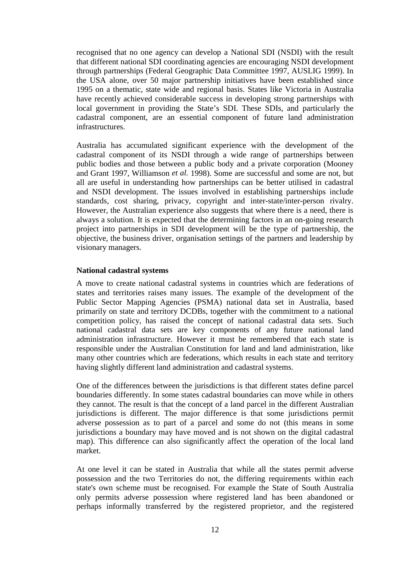recognised that no one agency can develop a National SDI (NSDI) with the result that different national SDI coordinating agencies are encouraging NSDI development through partnerships (Federal Geographic Data Committee 1997, AUSLIG 1999). In the USA alone, over 50 major partnership initiatives have been established since 1995 on a thematic, state wide and regional basis. States like Victoria in Australia have recently achieved considerable success in developing strong partnerships with local government in providing the State's SDI. These SDIs, and particularly the cadastral component, are an essential component of future land administration infrastructures.

Australia has accumulated significant experience with the development of the cadastral component of its NSDI through a wide range of partnerships between public bodies and those between a public body and a private corporation (Mooney and Grant 1997, Williamson *et al.* 1998). Some are successful and some are not, but all are useful in understanding how partnerships can be better utilised in cadastral and NSDI development. The issues involved in establishing partnerships include standards, cost sharing, privacy, copyright and inter-state/inter-person rivalry. However, the Australian experience also suggests that where there is a need, there is always a solution. It is expected that the determining factors in an on-going research project into partnerships in SDI development will be the type of partnership, the objective, the business driver, organisation settings of the partners and leadership by visionary managers.

### **National cadastral systems**

A move to create national cadastral systems in countries which are federations of states and territories raises many issues. The example of the development of the Public Sector Mapping Agencies (PSMA) national data set in Australia, based primarily on state and territory DCDBs, together with the commitment to a national competition policy, has raised the concept of national cadastral data sets. Such national cadastral data sets are key components of any future national land administration infrastructure. However it must be remembered that each state is responsible under the Australian Constitution for land and land administration, like many other countries which are federations, which results in each state and territory having slightly different land administration and cadastral systems.

One of the differences between the jurisdictions is that different states define parcel boundaries differently. In some states cadastral boundaries can move while in others they cannot. The result is that the concept of a land parcel in the different Australian jurisdictions is different. The major difference is that some jurisdictions permit adverse possession as to part of a parcel and some do not (this means in some jurisdictions a boundary may have moved and is not shown on the digital cadastral map). This difference can also significantly affect the operation of the local land market.

At one level it can be stated in Australia that while all the states permit adverse possession and the two Territories do not, the differing requirements within each state's own scheme must be recognised. For example the State of South Australia only permits adverse possession where registered land has been abandoned or perhaps informally transferred by the registered proprietor, and the registered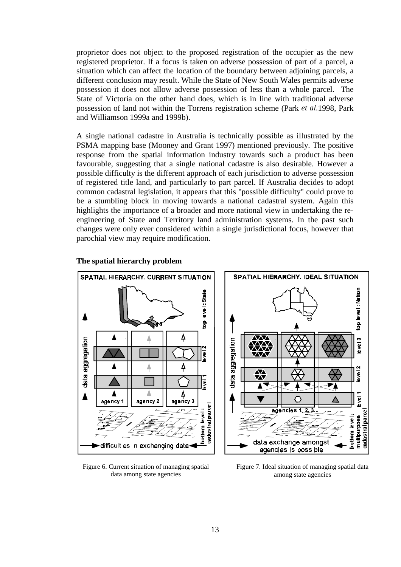proprietor does not object to the proposed registration of the occupier as the new registered proprietor. If a focus is taken on adverse possession of part of a parcel, a situation which can affect the location of the boundary between adjoining parcels, a different conclusion may result. While the State of New South Wales permits adverse possession it does not allow adverse possession of less than a whole parcel. The State of Victoria on the other hand does, which is in line with traditional adverse possession of land not within the Torrens registration scheme (Park *et al.*1998, Park and Williamson 1999a and 1999b).

A single national cadastre in Australia is technically possible as illustrated by the PSMA mapping base (Mooney and Grant 1997) mentioned previously. The positive response from the spatial information industry towards such a product has been favourable, suggesting that a single national cadastre is also desirable. However a possible difficulty is the different approach of each jurisdiction to adverse possession of registered title land, and particularly to part parcel. If Australia decides to adopt common cadastral legislation, it appears that this "possible difficulty" could prove to be a stumbling block in moving towards a national cadastral system. Again this highlights the importance of a broader and more national view in undertaking the reengineering of State and Territory land administration systems. In the past such changes were only ever considered within a single jurisdictional focus, however that parochial view may require modification.



#### **The spatial hierarchy problem**

Figure 6. Current situation of managing spatial data among state agencies

Figure 7. Ideal situation of managing spatial data among state agencies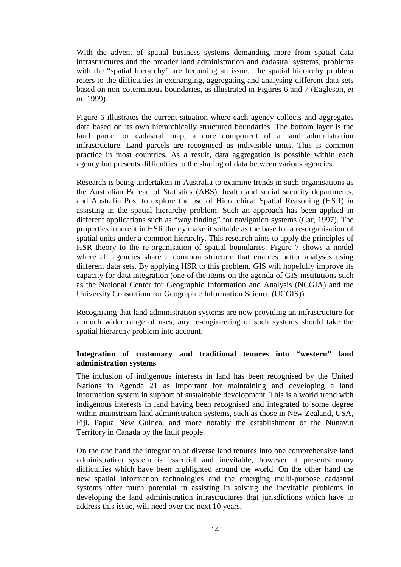With the advent of spatial business systems demanding more from spatial data infrastructures and the broader land administration and cadastral systems, problems with the "spatial hierarchy" are becoming an issue. The spatial hierarchy problem refers to the difficulties in exchanging, aggregating and analysing different data sets based on non-coterminous boundaries, as illustrated in Figures 6 and 7 (Eagleson, *et al*. 1999).

Figure 6 illustrates the current situation where each agency collects and aggregates data based on its own hierarchically structured boundaries. The bottom layer is the land parcel or cadastral map, a core component of a land administration infrastructure. Land parcels are recognised as indivisible units. This is common practice in most countries. As a result, data aggregation is possible within each agency but presents difficulties to the sharing of data between various agencies.

Research is being undertaken in Australia to examine trends in such organisations as the Australian Bureau of Statistics (ABS), health and social security departments, and Australia Post to explore the use of Hierarchical Spatial Reasoning (HSR) in assisting in the spatial hierarchy problem. Such an approach has been applied in different applications such as "way finding" for navigation systems (Car, 1997). The properties inherent in HSR theory make it suitable as the base for a re-organisation of spatial units under a common hierarchy. This research aims to apply the principles of HSR theory to the re-organisation of spatial boundaries. Figure 7 shows a model where all agencies share a common structure that enables better analyses using different data sets. By applying HSR to this problem, GIS will hopefully improve its capacity for data integration (one of the items on the agenda of GIS institutions such as the National Center for Geographic Information and Analysis (NCGIA) and the University Consortium for Geographic Information Science (UCGIS)).

Recognising that land administration systems are now providing an infrastructure for a much wider range of uses, any re-engineering of such systems should take the spatial hierarchy problem into account.

## **Integration of customary and traditional tenures into "western" land administration systems**

The inclusion of indigenous interests in land has been recognised by the United Nations in Agenda 21 as important for maintaining and developing a land information system in support of sustainable development. This is a world trend with indigenous interests in land having been recognised and integrated to some degree within mainstream land administration systems, such as those in New Zealand, USA, Fiji, Papua New Guinea, and more notably the establishment of the Nunavut Territory in Canada by the Inuit people.

On the one hand the integration of diverse land tenures into one comprehensive land administration system is essential and inevitable, however it presents many difficulties which have been highlighted around the world. On the other hand the new spatial information technologies and the emerging multi-purpose cadastral systems offer much potential in assisting in solving the inevitable problems in developing the land administration infrastructures that jurisdictions which have to address this issue, will need over the next 10 years.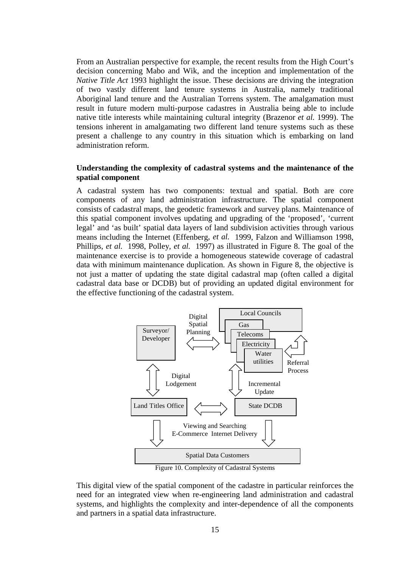From an Australian perspective for example, the recent results from the High Court's decision concerning Mabo and Wik, and the inception and implementation of the *Native Title Act* 1993 highlight the issue. These decisions are driving the integration of two vastly different land tenure systems in Australia, namely traditional Aboriginal land tenure and the Australian Torrens system. The amalgamation must result in future modern multi-purpose cadastres in Australia being able to include native title interests while maintaining cultural integrity (Brazenor *et al.* 1999). The tensions inherent in amalgamating two different land tenure systems such as these present a challenge to any country in this situation which is embarking on land administration reform.

### **Understanding the complexity of cadastral systems and the maintenance of the spatial component**

A cadastral system has two components: textual and spatial. Both are core components of any land administration infrastructure. The spatial component consists of cadastral maps, the geodetic framework and survey plans. Maintenance of this spatial component involves updating and upgrading of the 'proposed', 'current legal' and 'as built' spatial data layers of land subdivision activities through various means including the Internet (Effenberg*, et al.* 1999, Falzon and Williamson 1998, Phillips*, et al.* 1998, Polley*, et al.* 1997) as illustrated in Figure 8. The goal of the maintenance exercise is to provide a homogeneous statewide coverage of cadastral data with minimum maintenance duplication. As shown in Figure 8, the objective is not just a matter of updating the state digital cadastral map (often called a digital cadastral data base or DCDB) but of providing an updated digital environment for the effective functioning of the cadastral system.



Figure 10. Complexity of Cadastral Systems

This digital view of the spatial component of the cadastre in particular reinforces the need for an integrated view when re-engineering land administration and cadastral systems, and highlights the complexity and inter-dependence of all the components and partners in a spatial data infrastructure.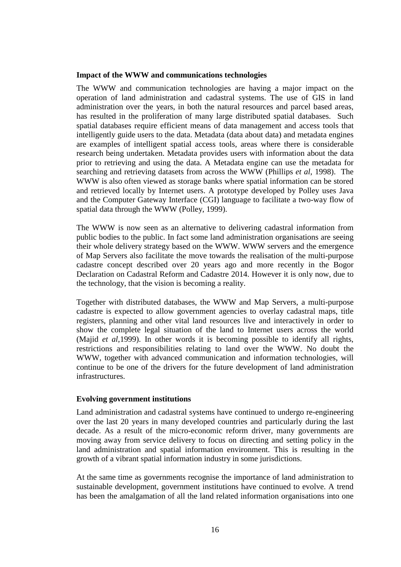#### **Impact of the WWW and communications technologies**

The WWW and communication technologies are having a major impact on the operation of land administration and cadastral systems. The use of GIS in land administration over the years, in both the natural resources and parcel based areas, has resulted in the proliferation of many large distributed spatial databases. Such spatial databases require efficient means of data management and access tools that intelligently guide users to the data. Metadata (data about data) and metadata engines are examples of intelligent spatial access tools, areas where there is considerable research being undertaken. Metadata provides users with information about the data prior to retrieving and using the data. A Metadata engine can use the metadata for searching and retrieving datasets from across the WWW (Phillips *et al*, 1998). The WWW is also often viewed as storage banks where spatial information can be stored and retrieved locally by Internet users. A prototype developed by Polley uses Java and the Computer Gateway Interface (CGI) language to facilitate a two-way flow of spatial data through the WWW (Polley, 1999).

The WWW is now seen as an alternative to delivering cadastral information from public bodies to the public. In fact some land administration organisations are seeing their whole delivery strategy based on the WWW. WWW servers and the emergence of Map Servers also facilitate the move towards the realisation of the multi-purpose cadastre concept described over 20 years ago and more recently in the Bogor Declaration on Cadastral Reform and Cadastre 2014. However it is only now, due to the technology, that the vision is becoming a reality.

Together with distributed databases, the WWW and Map Servers, a multi-purpose cadastre is expected to allow government agencies to overlay cadastral maps, title registers, planning and other vital land resources live and interactively in order to show the complete legal situation of the land to Internet users across the world (Majid *et al*,1999). In other words it is becoming possible to identify all rights, restrictions and responsibilities relating to land over the WWW. No doubt the WWW, together with advanced communication and information technologies, will continue to be one of the drivers for the future development of land administration infrastructures.

#### **Evolving government institutions**

Land administration and cadastral systems have continued to undergo re-engineering over the last 20 years in many developed countries and particularly during the last decade. As a result of the micro-economic reform driver, many governments are moving away from service delivery to focus on directing and setting policy in the land administration and spatial information environment. This is resulting in the growth of a vibrant spatial information industry in some jurisdictions.

At the same time as governments recognise the importance of land administration to sustainable development, government institutions have continued to evolve. A trend has been the amalgamation of all the land related information organisations into one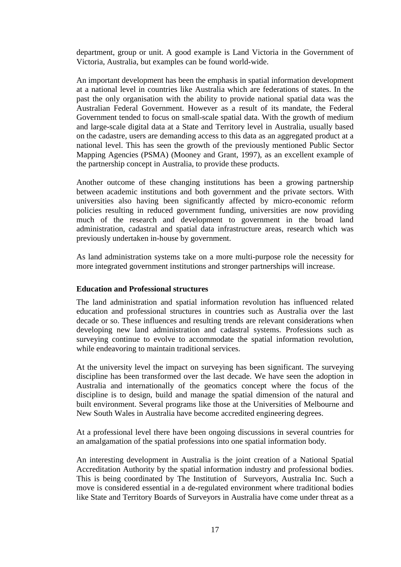department, group or unit. A good example is Land Victoria in the Government of Victoria, Australia, but examples can be found world-wide.

An important development has been the emphasis in spatial information development at a national level in countries like Australia which are federations of states. In the past the only organisation with the ability to provide national spatial data was the Australian Federal Government. However as a result of its mandate, the Federal Government tended to focus on small-scale spatial data. With the growth of medium and large-scale digital data at a State and Territory level in Australia, usually based on the cadastre, users are demanding access to this data as an aggregated product at a national level. This has seen the growth of the previously mentioned Public Sector Mapping Agencies (PSMA) (Mooney and Grant, 1997), as an excellent example of the partnership concept in Australia, to provide these products.

Another outcome of these changing institutions has been a growing partnership between academic institutions and both government and the private sectors. With universities also having been significantly affected by micro-economic reform policies resulting in reduced government funding, universities are now providing much of the research and development to government in the broad land administration, cadastral and spatial data infrastructure areas, research which was previously undertaken in-house by government.

As land administration systems take on a more multi-purpose role the necessity for more integrated government institutions and stronger partnerships will increase.

### **Education and Professional structures**

The land administration and spatial information revolution has influenced related education and professional structures in countries such as Australia over the last decade or so. These influences and resulting trends are relevant considerations when developing new land administration and cadastral systems. Professions such as surveying continue to evolve to accommodate the spatial information revolution, while endeavoring to maintain traditional services.

At the university level the impact on surveying has been significant. The surveying discipline has been transformed over the last decade. We have seen the adoption in Australia and internationally of the geomatics concept where the focus of the discipline is to design, build and manage the spatial dimension of the natural and built environment. Several programs like those at the Universities of Melbourne and New South Wales in Australia have become accredited engineering degrees.

At a professional level there have been ongoing discussions in several countries for an amalgamation of the spatial professions into one spatial information body.

An interesting development in Australia is the joint creation of a National Spatial Accreditation Authority by the spatial information industry and professional bodies. This is being coordinated by The Institution of Surveyors, Australia Inc. Such a move is considered essential in a de-regulated environment where traditional bodies like State and Territory Boards of Surveyors in Australia have come under threat as a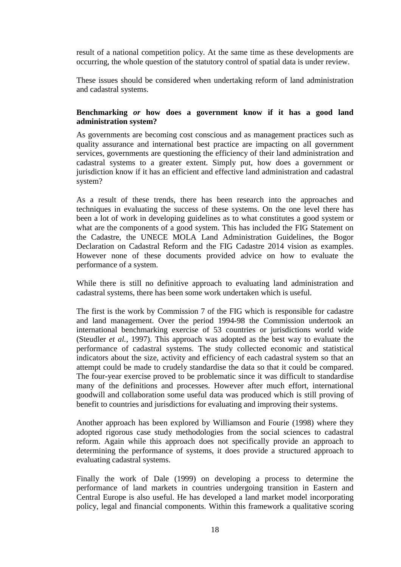result of a national competition policy. At the same time as these developments are occurring, the whole question of the statutory control of spatial data is under review.

These issues should be considered when undertaking reform of land administration and cadastral systems.

## **Benchmarking** *or* **how does a government know if it has a good land administration system?**

As governments are becoming cost conscious and as management practices such as quality assurance and international best practice are impacting on all government services, governments are questioning the efficiency of their land administration and cadastral systems to a greater extent. Simply put, how does a government or jurisdiction know if it has an efficient and effective land administration and cadastral system?

As a result of these trends, there has been research into the approaches and techniques in evaluating the success of these systems. On the one level there has been a lot of work in developing guidelines as to what constitutes a good system or what are the components of a good system. This has included the FIG Statement on the Cadastre, the UNECE MOLA Land Administration Guidelines, the Bogor Declaration on Cadastral Reform and the FIG Cadastre 2014 vision as examples. However none of these documents provided advice on how to evaluate the performance of a system.

While there is still no definitive approach to evaluating land administration and cadastral systems, there has been some work undertaken which is useful.

The first is the work by Commission 7 of the FIG which is responsible for cadastre and land management. Over the period 1994-98 the Commission undertook an international benchmarking exercise of 53 countries or jurisdictions world wide (Steudler *et al.*, 1997). This approach was adopted as the best way to evaluate the performance of cadastral systems. The study collected economic and statistical indicators about the size, activity and efficiency of each cadastral system so that an attempt could be made to crudely standardise the data so that it could be compared. The four-year exercise proved to be problematic since it was difficult to standardise many of the definitions and processes. However after much effort, international goodwill and collaboration some useful data was produced which is still proving of benefit to countries and jurisdictions for evaluating and improving their systems.

Another approach has been explored by Williamson and Fourie (1998) where they adopted rigorous case study methodologies from the social sciences to cadastral reform. Again while this approach does not specifically provide an approach to determining the performance of systems, it does provide a structured approach to evaluating cadastral systems.

Finally the work of Dale (1999) on developing a process to determine the performance of land markets in countries undergoing transition in Eastern and Central Europe is also useful. He has developed a land market model incorporating policy, legal and financial components. Within this framework a qualitative scoring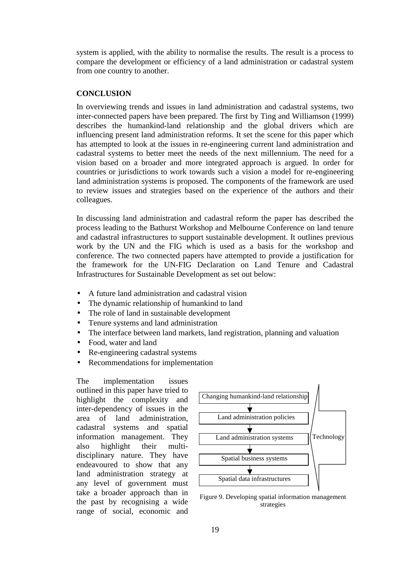system is applied, with the ability to normalise the results. The result is a process to compare the development or efficiency of a land administration or cadastral system from one country to another.

# **CONCLUSION**

In overviewing trends and issues in land administration and cadastral systems, two inter-connected papers have been prepared. The first by Ting and Williamson (1999) describes the humankind-land relationship and the global drivers which are influencing present land administration reforms. It set the scene for this paper which has attempted to look at the issues in re-engineering current land administration and cadastral systems to better meet the needs of the next millennium. The need for a vision based on a broader and more integrated approach is argued. In order for countries or jurisdictions to work towards such a vision a model for re-engineering land administration systems is proposed. The components of the framework are used to review issues and strategies based on the experience of the authors and their colleagues.

In discussing land administration and cadastral reform the paper has described the process leading to the Bathurst Workshop and Melbourne Conference on land tenure and cadastral infrastructures to support sustainable development. It outlines previous work by the UN and the FIG which is used as a basis for the workshop and conference. The two connected papers have attempted to provide a justification for the framework for the UN-FIG Declaration on Land Tenure and Cadastral Infrastructures for Sustainable Development as set out below:

- A future land administration and cadastral vision
- The dynamic relationship of humankind to land
- The role of land in sustainable development
- Tenure systems and land administration
- The interface between land markets, land registration, planning and valuation
- Food, water and land
- Re-engineering cadastral systems
- Recommendations for implementation

The implementation issues outlined in this paper have tried to highlight the complexity and inter-dependency of issues in the area of land administration, cadastral systems and spatial information management. They also highlight their multidisciplinary nature. They have endeavoured to show that any land administration strategy at any level of government must take a broader approach than in the past by recognising a wide range of social, economic and



Figure 9. Developing spatial information management strategies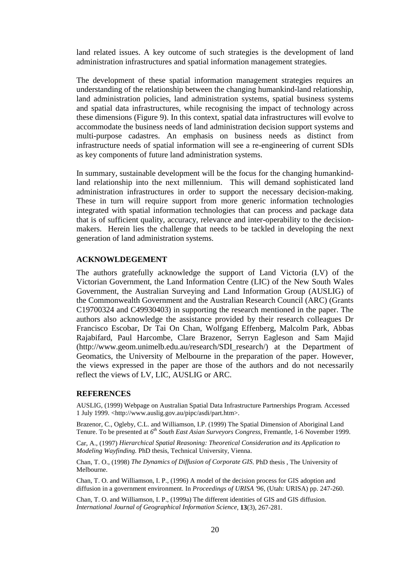land related issues. A key outcome of such strategies is the development of land administration infrastructures and spatial information management strategies.

The development of these spatial information management strategies requires an understanding of the relationship between the changing humankind-land relationship, land administration policies, land administration systems, spatial business systems and spatial data infrastructures, while recognising the impact of technology across these dimensions (Figure 9). In this context, spatial data infrastructures will evolve to accommodate the business needs of land administration decision support systems and multi-purpose cadastres. An emphasis on business needs as distinct from infrastructure needs of spatial information will see a re-engineering of current SDIs as key components of future land administration systems.

In summary, sustainable development will be the focus for the changing humankindland relationship into the next millennium. This will demand sophisticated land administration infrastructures in order to support the necessary decision-making. These in turn will require support from more generic information technologies integrated with spatial information technologies that can process and package data that is of sufficient quality, accuracy, relevance and inter-operability to the decisionmakers. Herein lies the challenge that needs to be tackled in developing the next generation of land administration systems.

### **ACKNOWLDEGEMENT**

The authors gratefully acknowledge the support of Land Victoria (LV) of the Victorian Government, the Land Information Centre (LIC) of the New South Wales Government, the Australian Surveying and Land Information Group (AUSLIG) of the Commonwealth Government and the Australian Research Council (ARC) (Grants C19700324 and C49930403) in supporting the research mentioned in the paper. The authors also acknowledge the assistance provided by their research colleagues Dr Francisco Escobar, Dr Tai On Chan, Wolfgang Effenberg, Malcolm Park, Abbas Rajabifard, Paul Harcombe, Clare Brazenor, Serryn Eagleson and Sam Majid (http://www.geom.unimelb.edu.au/research/SDI research/) at the Department of Geomatics, the University of Melbourne in the preparation of the paper. However, the views expressed in the paper are those of the authors and do not necessarily reflect the views of LV, LIC, AUSLIG or ARC.

#### **REFERENCES**

AUSLIG, (1999) Webpage on Australian Spatial Data Infrastructure Partnerships Program*.* Accessed 1 July 1999. <http://www.auslig.gov.au/pipc/asdi/part.htm>.

Brazenor, C., Ogleby, C.L. and Williamson, I.P. (1999) The Spatial Dimension of Aboriginal Land Tenure. To be presented at *6th South East Asian Surveyors Congress*, Fremantle, 1-6 November 1999.

Car, A., (1997) *Hierarchical Spatial Reasoning: Theoretical Consideration and its Application to Modeling Wayfinding.* PhD thesis, Technical University, Vienna.

Chan, T. O., (1998) *The Dynamics of Diffusion of Corporate GIS*. PhD thesis , The University of Melbourne.

Chan, T. O. and Williamson, I. P., (1996) A model of the decision process for GIS adoption and diffusion in a government environment. In *Proceedings of URISA '96,* (Utah: URISA) pp. 247-260.

Chan, T. O. and Williamson, I. P., (1999a) The different identities of GIS and GIS diffusion. *International Journal of Geographical Information Science*, **13**(3), 267-281.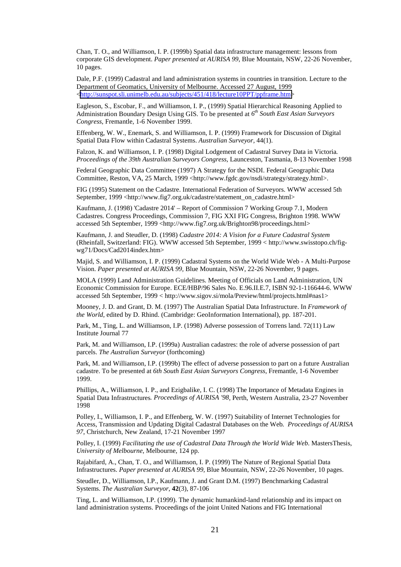Chan, T. O., and Williamson, I. P. (1999b) Spatial data infrastructure management: lessons from corporate GIS development. *Paper presented at AURISA 99,* Blue Mountain, NSW, 22-26 November, 10 pages.

Dale, P.F. (1999) Cadastral and land administration systems in countries in transition. Lecture to the Department of Geomatics, University of Melbourne. Accessed 27 August, 1999 [<http://sunspot.sli.unimelb.edu.au/subjects/451/418/lecture10PPT/ppframe.htm>](http://sunspot.sli.unimelb.edu.au/subjects/451/418/lecture10PPT/ppframe.htm)

Eagleson, S., Escobar, F., and Williamson, I. P., (1999) Spatial Hierarchical Reasoning Applied to Administration Boundary Design Using GIS. To be presented at *6th South East Asian Surveyors Congress*, Fremantle, 1-6 November 1999.

Effenberg, W. W., Enemark, S. and Williamson, I. P. (1999) Framework for Discussion of Digital Spatial Data Flow within Cadastral Systems. *Australian Surveyor,* 44(1).

Falzon, K. and Williamson, I. P. (1998) Digital Lodgement of Cadastral Survey Data in Victoria*. Proceedings of the 39th Australian Surveyors Congress*, Launceston, Tasmania, 8-13 November 1998

Federal Geographic Data Committee (1997) A Strategy for the NSDI. Federal Geographic Data Committee, Reston, VA, 25 March, 1999 <http://www.fgdc.gov/nsdi/strategy/strategy.html>.

FIG (1995) Statement on the Cadastre. International Federation of Surveyors. WWW accessed 5th September, 1999 <http://www.fig7.org.uk/cadastre/statement\_on\_cadastre.html>

Kaufmann, J. (1998) 'Cadastre 2014' – Report of Commission 7 Working Group 7.1, Modern Cadastres. Congress Proceedings, Commission 7, FIG XXI FIG Congress, Brighton 1998. WWW accessed 5th September, 1999 <http://www.fig7.org.uk/Brighton98/proceedings.html>

Kaufmann, J. and Steudler, D. (1998) *Cadastre 2014: A Vision for a Future Cadastral System* (Rheinfall, Switzerland: FIG). WWW accessed 5th September, 1999 < http://www.swisstopo.ch/figwg71/Docs/Cad2014index.htm>

Majid, S. and Williamson, I. P. (1999) Cadastral Systems on the World Wide Web - A Multi-Purpose Vision. *Paper presented at AURISA 99,* Blue Mountain, NSW, 22-26 November, 9 pages.

MOLA (1999) Land Administration Guidelines. Meeting of Officials on Land Administration, UN Economic Commission for Europe. ECE/HBP/96 Sales No. E.96.II.E.7, ISBN 92-1-116644-6. WWW accessed 5th September, 1999 < http://www.sigov.si/mola/Preview/html/projects.html#nas1>

Mooney, J. D. and Grant, D. M. (1997) The Australian Spatial Data Infrastructure. In *Framework of the World*, edited by D. Rhind. (Cambridge: GeoInformation International), pp. 187-201.

Park, M., Ting, L. and Williamson, I.P. (1998) Adverse possession of Torrens land. 72(11) Law Institute Journal 77

Park, M. and Williamson, I.P. (1999a) Australian cadastres: the role of adverse possession of part parcels. *The Australian Surveyor* (forthcoming)

Park, M. and Williamson, I.P. (1999b) The effect of adverse possession to part on a future Australian cadastre. To be presented at *6th South East Asian Surveyors Congress*, Fremantle, 1-6 November 1999.

Phillips, A., Williamson, I. P., and Ezigbalike, I. C. (1998) The Importance of Metadata Engines in Spatial Data Infrastructures*. Proceedings of AURISA '98*, Perth, Western Australia, 23-27 November 1998

Polley, I., Williamson, I. P., and Effenberg, W. W. (1997) Suitability of Internet Technologies for Access, Transmission and Updating Digital Cadastral Databases on the Web*. Proceedings of AURISA 97*, Christchurch, New Zealand, 17-21 November 1997

Polley, I. (1999) *Facilitating the use of Cadastral Data Through the World Wide Web*. MastersThesis, *University of Melbourne*, Melbourne, 124 pp.

Rajabifard, A., Chan, T. O., and Williamson, I. P. (1999) The Nature of Regional Spatial Data Infrastructures. *Paper presented at AURISA 99,* Blue Mountain, NSW, 22-26 November, 10 pages.

Steudler, D., Williamson, I.P., Kaufmann, J. and Grant D.M. (1997) Benchmarking Cadastral Systems. *The Australian Surveyor*, **42**(3), 87-106

Ting, L. and Williamson, I.P. (1999). The dynamic humankind-land relationship and its impact on land administration systems. Proceedings of the joint United Nations and FIG International